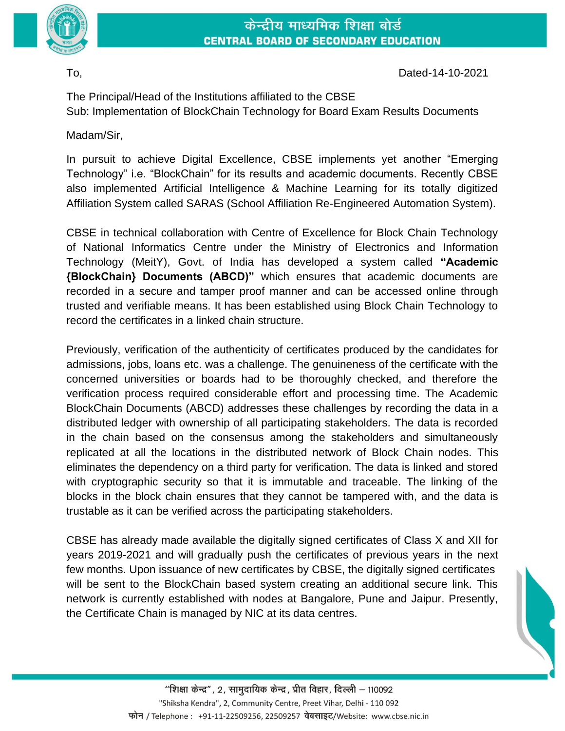

## केन्द्रीय माध्यमिक शिक्षा बोर्ड **CENTRAL BOARD OF SECONDARY EDUCATION**

To, Dated-14-10-2021

The Principal/Head of the Institutions affiliated to the CBSE Sub: Implementation of BlockChain Technology for Board Exam Results Documents

Madam/Sir,

In pursuit to achieve Digital Excellence, CBSE implements yet another "Emerging Technology" i.e. "BlockChain" for its results and academic documents. Recently CBSE also implemented Artificial Intelligence & Machine Learning for its totally digitized Affiliation System called SARAS (School Affiliation Re-Engineered Automation System).

CBSE in technical collaboration with Centre of Excellence for Block Chain Technology of National Informatics Centre under the Ministry of Electronics and Information Technology (MeitY), Govt. of India has developed a system called **"Academic {BlockChain} Documents (ABCD)"** which ensures that academic documents are recorded in a secure and tamper proof manner and can be accessed online through trusted and verifiable means. It has been established using Block Chain Technology to record the certificates in a linked chain structure.

Previously, verification of the authenticity of certificates produced by the candidates for admissions, jobs, loans etc. was a challenge. The genuineness of the certificate with the concerned universities or boards had to be thoroughly checked, and therefore the verification process required considerable effort and processing time. The Academic BlockChain Documents (ABCD) addresses these challenges by recording the data in a distributed ledger with ownership of all participating stakeholders. The data is recorded in the chain based on the consensus among the stakeholders and simultaneously replicated at all the locations in the distributed network of Block Chain nodes. This eliminates the dependency on a third party for verification. The data is linked and stored with cryptographic security so that it is immutable and traceable. The linking of the blocks in the block chain ensures that they cannot be tampered with, and the data is trustable as it can be verified across the participating stakeholders.

CBSE has already made available the digitally signed certificates of Class X and XII for years 2019-2021 and will gradually push the certificates of previous years in the next few months. Upon issuance of new certificates by CBSE, the digitally signed certificates will be sent to the BlockChain based system creating an additional secure link. This network is currently established with nodes at Bangalore, Pune and Jaipur. Presently, the Certificate Chain is managed by NIC at its data centres.